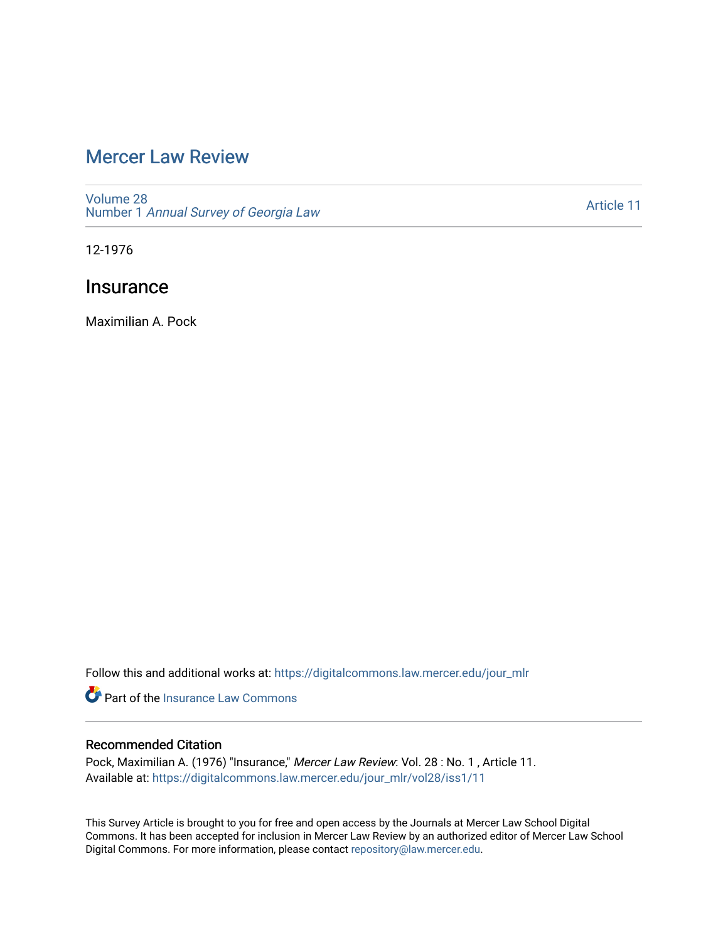# [Mercer Law Review](https://digitalcommons.law.mercer.edu/jour_mlr)

[Volume 28](https://digitalcommons.law.mercer.edu/jour_mlr/vol28) Number 1 [Annual Survey of Georgia Law](https://digitalcommons.law.mercer.edu/jour_mlr/vol28/iss1) 

[Article 11](https://digitalcommons.law.mercer.edu/jour_mlr/vol28/iss1/11) 

12-1976

# **Insurance**

Maximilian A. Pock

Follow this and additional works at: [https://digitalcommons.law.mercer.edu/jour\\_mlr](https://digitalcommons.law.mercer.edu/jour_mlr?utm_source=digitalcommons.law.mercer.edu%2Fjour_mlr%2Fvol28%2Fiss1%2F11&utm_medium=PDF&utm_campaign=PDFCoverPages)

**C** Part of the [Insurance Law Commons](http://network.bepress.com/hgg/discipline/607?utm_source=digitalcommons.law.mercer.edu%2Fjour_mlr%2Fvol28%2Fiss1%2F11&utm_medium=PDF&utm_campaign=PDFCoverPages)

# Recommended Citation

Pock, Maximilian A. (1976) "Insurance," Mercer Law Review: Vol. 28: No. 1, Article 11. Available at: [https://digitalcommons.law.mercer.edu/jour\\_mlr/vol28/iss1/11](https://digitalcommons.law.mercer.edu/jour_mlr/vol28/iss1/11?utm_source=digitalcommons.law.mercer.edu%2Fjour_mlr%2Fvol28%2Fiss1%2F11&utm_medium=PDF&utm_campaign=PDFCoverPages) 

This Survey Article is brought to you for free and open access by the Journals at Mercer Law School Digital Commons. It has been accepted for inclusion in Mercer Law Review by an authorized editor of Mercer Law School Digital Commons. For more information, please contact [repository@law.mercer.edu](mailto:repository@law.mercer.edu).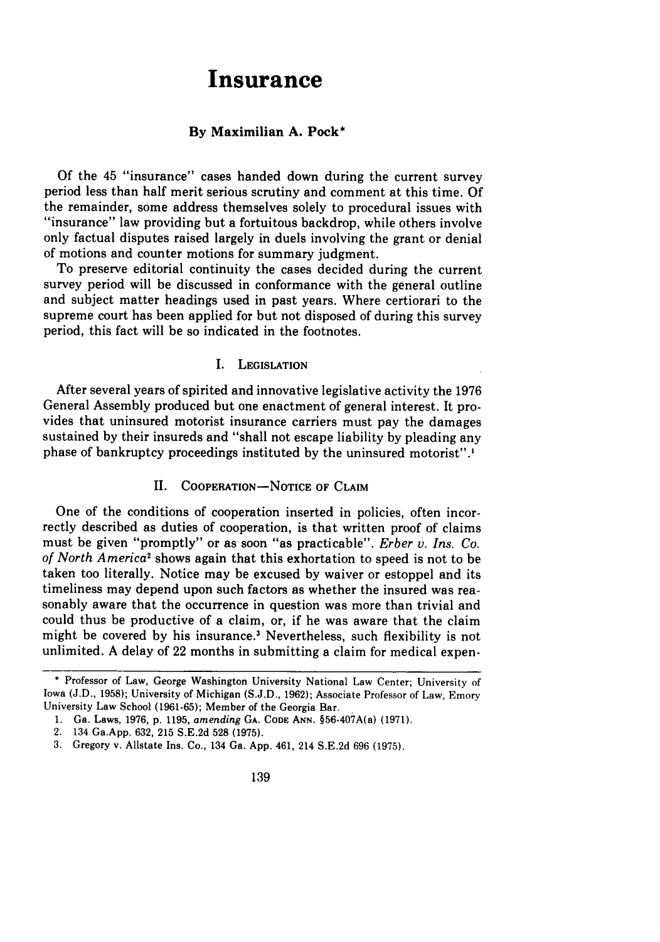# **Insurance**

#### **By Maximilian A. Pock\***

**Of** the 45 "insurance" cases handed down during the current survey period less than half merit serious scrutiny and comment at this time. **Of** the remainder, some address themselves solely to procedural issues with "insurance" law providing but a fortuitous backdrop, while others involve only factual disputes raised largely in duels involving the grant or denial of motions and counter motions for summary judgment.

To preserve editorial continuity the cases decided during the current survey period will be discussed in conformance with the general outline and subject matter headings used in past years. Where certiorari to the supreme court has been applied for but not disposed of during this survey period, this fact will be so indicated in the footnotes.

#### **I. LEGISLATION**

After several years of spirited and innovative legislative activity the **1976** General Assembly produced but one enactment of general interest. It provides that uninsured motorist insurance carriers must pay the damages sustained **by** their insureds and "shall not escape liability **by** pleading any phase of bankruptcy proceedings instituted **by** the uninsured motorist".'

# II. **COOPERATION-NOTICE OF CLAIM**

One of the conditions of cooperation inserted in policies, often incorrectly described as duties of cooperation, is that written proof of claims must be given "promptly" or as soon "as practicable". *Erber v. Ins. Co. of North America'* shows again that this exhortation to speed is not to be taken too literally. Notice may be excused by waiver or estoppel and its timeliness may depend upon such factors as whether the insured was reasonably aware that the occurrence in question was more than trivial and could thus be productive of a claim, or, if he was aware that the claim might be covered by his insurance.' Nevertheless, such flexibility is not unlimited. A delay of 22 months in submitting a claim for medical expen-

<sup>\*</sup> Professor of Law, George Washington University National Law Center; University of Iowa (J.D., 1958); University of Michigan (S.J.D., 1962); Associate Professor of Law, Emory University Law School (1961-65); Member of the Georgia Bar.

<sup>1.</sup> Ga. Laws, 1976, p. 1195, *amending* GA. **CODE ANN.** §56-407A(a) (1971).

<sup>2. 134</sup> Ga.App. 632, 215 S.E.2d 528 (1975).

<sup>3.</sup> Gregory v. Allstate Ins. Co., 134 Ga. App. 461, 214 S.E.2d 696 (1975).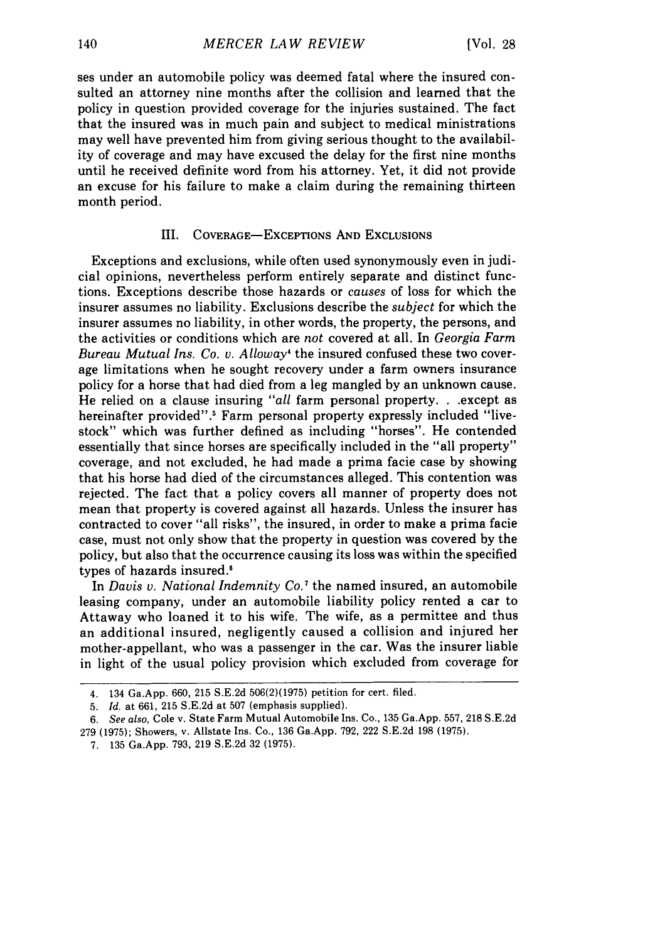ses under an automobile policy was deemed fatal where the insured consulted an attorney nine months after the collision and learned that the policy in question provided coverage for the injuries sustained. The fact that the insured was in much pain and subject to medical ministrations may well have prevented him from giving serious thought to the availability of coverage and may have excused the delay for the first nine months until he received definite word from his attorney. Yet, it did not provide an excuse for his failure to make a claim during the remaining thirteen month period.

### HI. COVERAGE-EXCEPTIONS AND EXCLUSIONS

Exceptions and exclusions, while often used synonymously even in judicial opinions, nevertheless perform entirely separate and distinct functions. Exceptions describe those hazards or *causes* of loss for which the insurer assumes no liability. Exclusions describe the *subject* for which the insurer assumes no liability, in other words, the property, the persons, and the activities or conditions which are *not* covered at all. In *Georgia Farm Bureau Mutual Ins. Co. v. Alloway'* the insured confused these two coverage limitations when he sought recovery under a farm owners insurance policy for a horse that had died from a leg mangled by an unknown cause. He relied on a clause insuring *"all* farm personal property. **.** .except as hereinafter provided".<sup>5</sup> Farm personal property expressly included "livestock" which was further defined as including "horses". He contended essentially that since horses are specifically included in the "all property" coverage, and not excluded, he had made a prima facie case by showing that his horse had died of the circumstances alleged. This contention was rejected. The fact that a policy covers all manner of property does not mean that property is covered against all hazards. Unless the insurer has contracted to cover "all risks", the insured, in order to make a prima facie case, must not only show that the property in question was covered by the policy, but also that the occurrence causing its loss was within the specified types of hazards insured.<sup>6</sup>

In *Davis v. National Indemnity Co.7* the named insured, an automobile leasing company, under an automobile liability policy rented a car to Attaway who loaned it to his wife. The wife, as a permittee and thus an additional insured, negligently caused a collision and injured her mother-appellant, who was a passenger in the car. Was the insurer liable in light of the usual policy provision which excluded from coverage for

<sup>4. 134</sup> Ga.App. 660, 215 S.E.2d 506(2)(1975) petition for cert. filed.

<sup>5.</sup> *Id.* at 661, 215 S.E.2d at 507 (emphasis supplied).

*<sup>6.</sup> See also,* Cole v. State Farm Mutual Automobile Ins. Co., 135 Ga.App. 557, 218 S.E.2d 279 (1975); Showers, v. Allstate Ins. Co., 136 Ga.App. 792, 222 S.E.2d 198 (1975).

<sup>7. 135</sup> Ga.App. 793, 219 S.E.2d 32 (1975).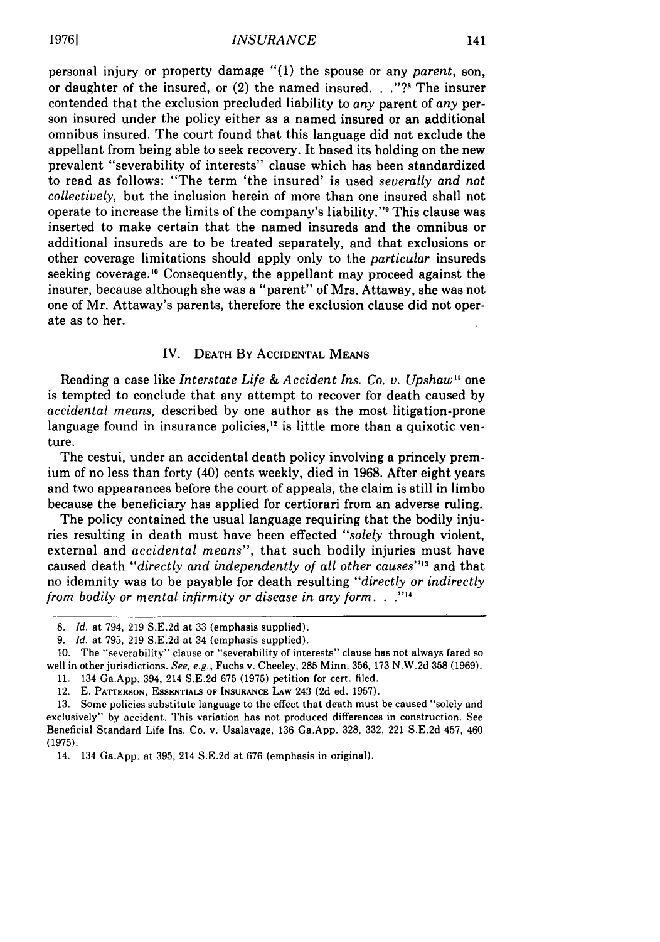personal injury or property damage "(1) the spouse or any *parent,* son, or daughter of the insured, or (2) the named insured. **.** ."?s The insurer contended that the exclusion precluded liability to *any* parent of *any* person insured under the policy either as a named insured or an additional omnibus insured. The court found that this language did not exclude the appellant from being able to seek recovery. It based its holding on the new prevalent "severability of interests" clause which has been standardized to read as follows: "The term 'the insured' is used *severally and not collectively,* but the inclusion herein of more than one insured shall not operate to increase the limits of the company's liability." This clause was inserted to make certain that the named insureds and the omnibus or additional insureds are to be treated separately, and that exclusions or other coverage limitations should apply only to the *particular* insureds seeking coverage.<sup>10</sup> Consequently, the appellant may proceed against the insurer, because although she was a "parent" of Mrs. Attaway, she was not one of Mr. Attaway's parents, therefore the exclusion clause did not operate as to her.

#### IV. **DEATH** By **ACCIDENTAL** MEANS

Reading a case like *Interstate Life & Accident Ins. Co. v. Upshaw"* one is tempted to conclude that any attempt to recover for death caused by *accidental means,* described by one author as the most litigation-prone language found in insurance policies,<sup>12</sup> is little more than a quixotic venture.

The cestui, under an accidental death policy involving a princely premium of no less than forty (40) cents weekly, died in 1968. After eight years and two appearances before the court of appeals, the claim is still in limbo because the beneficiary has applied for certiorari from an adverse ruling.

The policy contained the usual language requiring that the bodily injuries resulting in death must have been effected *"solely* through violent, external and *accidental means",* that such bodily injuries must have caused death *"directly and independently of all other causes"'3* and that no idemnity was to be payable for death resulting *"directly or indirectly from bodily or mental infirmity or disease in any form..*

<sup>8.</sup> *Id.* at 794, 219 S.E.2d at 33 (emphasis supplied).

<sup>9.</sup> *Id.* at 795, 219 S.E.2d at 34 (emphasis supplied).

<sup>10.</sup> The "severability" clause or "severability of interests" clause has not always fared so well in other jurisdictions. *See,* e.g., Fuchs v. Cheeley, 285 Minn. 356, 173 N.W.2d 358 (1969). 11. 134 Ga.App. 394, 214 S.E.2d 675 (1975) petition for cert. filed.

<sup>12.</sup> E. PATTERSON, **ESSENTIALS** OF **INSURANCE** LAW 243 (2d ed. 1957).

<sup>13.</sup> Some policies substitute language to the effect that death must be caused "solely and exclusively" by accident. This variation has not produced differences in construction. See Beneficial Standard Life Ins. Co. v. Usalavage, **136** Ga.App. **328, 332,** 221 S.E.2d 457, 460 (1975).

<sup>14. 134</sup> Ga.App. at 395, 214 S.E.2d at 676 (emphasis in original).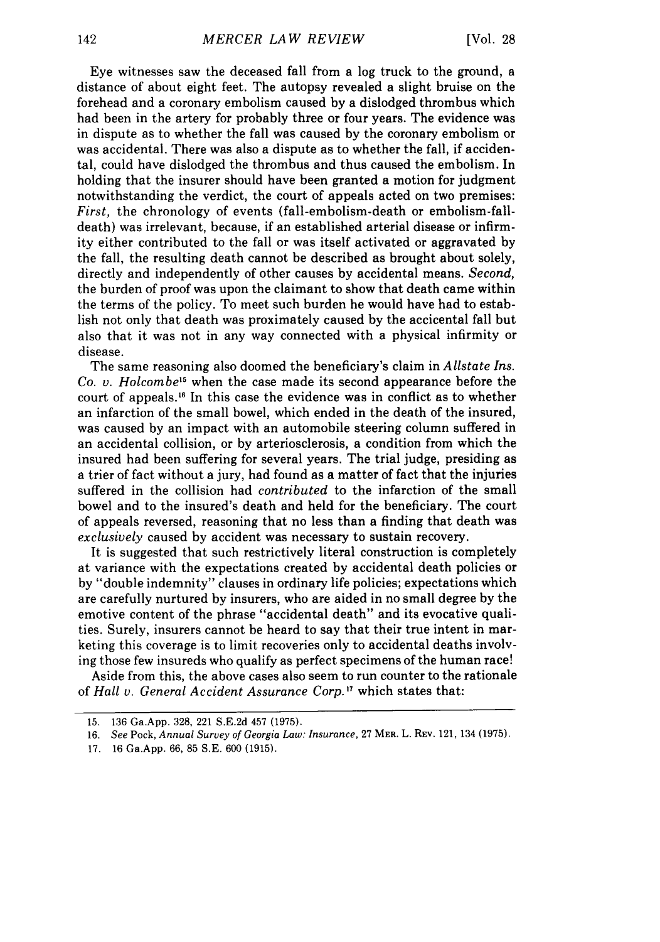Eye witnesses saw the deceased fall from a log truck to the ground, a distance of about eight feet. The autopsy revealed a slight bruise on the forehead and a coronary embolism caused by a dislodged thrombus which had been in the artery for probably three or four years. The evidence was in dispute as to whether the fall was caused by the coronary embolism or was accidental. There was also a dispute as to whether the fall, if accidental, could have dislodged the thrombus and thus caused the embolism. In holding that the insurer should have been granted a motion for judgment notwithstanding the verdict, the court of appeals acted on two premises: *First,* the chronology of events (fall-embolism-death or embolism-falldeath) was irrelevant, because, if an established arterial disease or infirmity either contributed to the fall or was itself activated or aggravated by the fall, the resulting death cannot be described as brought about solely, directly and independently of other causes by accidental means. *Second,* the burden of proof was upon the claimant to show that death came within the terms of the policy. To meet such burden he would have had to establish not only that death was proximately caused by the accicental fall but also that it was not in any way connected with a physical infirmity or disease.

The same reasoning also doomed the beneficiary's claim in *Allstate Ins. Co. v. Holcombe'5* when the case made its second appearance before the court of appeals.'" In this case the evidence was in conflict as to whether an infarction of the small bowel, which ended in the death of the insured, was caused by an impact with an automobile steering column suffered in an accidental collision, or by arteriosclerosis, a condition from which the insured had been suffering for several years. The trial judge, presiding as a trier of fact without a jury, had found as a matter of fact that the injuries suffered in the collision had *contributed* to the infarction of the small bowel and to the insured's death and held for the beneficiary. The court of appeals reversed, reasoning that no less than a finding that death was *exclusively* caused by accident was necessary to sustain recovery.

It is suggested that such restrictively literal construction is completely at variance with the expectations created by accidental death policies or by "double indemnity" clauses in ordinary life policies; expectations which are carefully nurtured by insurers, who are aided in no small degree by the emotive content of the phrase "accidental death" and its evocative qualities. Surely, insurers cannot be heard to say that their true intent in marketing this coverage is to limit recoveries only to accidental deaths involving those few insureds who qualify as perfect specimens of the human race!

Aside from this, the above cases also seem to run counter to the rationale of *Hall v. General Accident Assurance Corp.'7* which states that:

<sup>15. 136</sup> Ga.App. 328, 221 S.E.2d 457 (1975).

<sup>16.</sup> *See* Pock, *Annual Survey of Georgia Law: Insurance,* 27 **MER.** L. REV. 121, 134 (1975).

<sup>17. 16</sup> Ga.App. 66, 85 S.E. 600 (1915).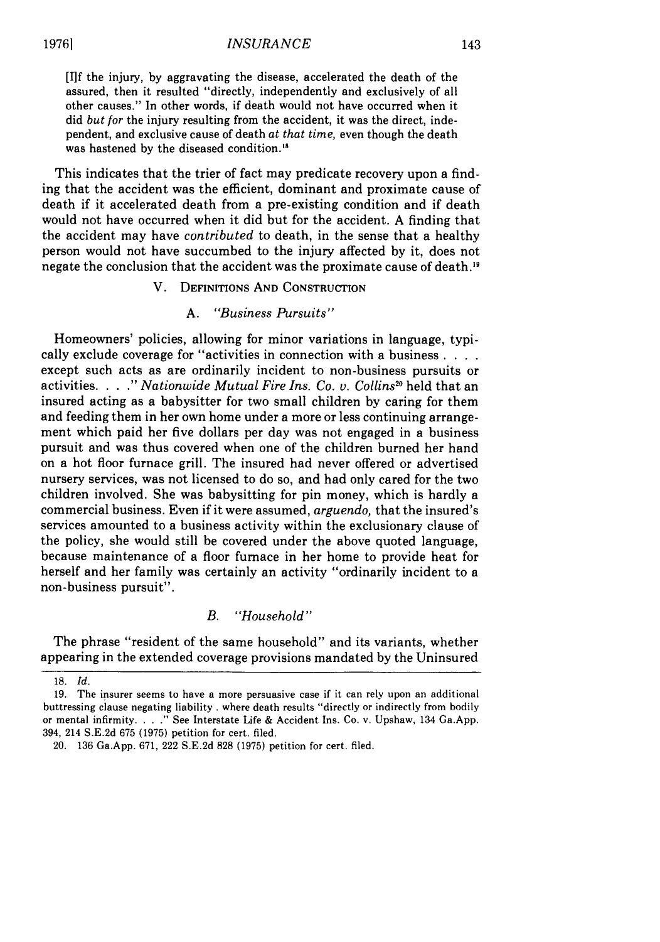#### *INSURANCE*

[I]f the injury, by aggravating the disease, accelerated the death of the assured, then it resulted "directly, independently and exclusively of all other causes." In other words, if death would not have occurred when it did *but for* the injury resulting from the accident, it was the direct, independent, and exclusive cause of death *at that time,* even though the death was hastened by the diseased condition."

This indicates that the trier of fact may predicate recovery upon a finding that the accident was the efficient, dominant and proximate cause of death if it accelerated death from a pre-existing condition and if death would not have occurred when it did but for the accident. A finding that the accident may have *contributed* to death, in the sense that a healthy person would not have succumbed to the injury affected by it, does not negate the conclusion that the accident was the proximate cause of death. <sup>9</sup>

# V. DEFINITIONS **AND CONSTRUCTION**

### *A. "Business Pursuits"*

Homeowners' policies, allowing for minor variations in language, typically exclude coverage for "activities in connection with a business **....** except such acts as are ordinarily incident to non-business pursuits or activities. . **. ."** *Nationwide Mutual Fire Ins. Co. v. Collins °* held that an insured acting as a babysitter for two small children by caring for them and feeding them in her own home under a more or less continuing arrangement which paid her five dollars per day was not engaged in a business pursuit and was thus covered when one of the children burned her hand on a hot floor furnace grill. The insured had never offered or advertised nursery services, was not licensed to do so, and had only cared for the two children involved. She was babysitting for pin money, which is hardly a commercial business. Even if it were assumed, *arguendo,* that the insured's services amounted to a business activity within the exclusionary clause of the policy, she would still be covered under the above quoted language, because maintenance of a floor furnace in her home to provide heat for herself and her family was certainly an activity "ordinarily incident to a non-business pursuit".

# *B. "Household"*

The phrase "resident of the same household" and its variants, whether appearing in the extended coverage provisions mandated by the Uninsured

<sup>18.</sup> *Id.*

<sup>19.</sup> The insurer seems to have a more persuasive case if it can rely upon an additional buttressing clause negating liability **.** where death results "directly or indirectly from bodily or mental infirmity. **...** See Interstate Life & Accident Ins. Co. v. Upshaw, 134 Ga.App. 394, 214 S.E.2d 675 (1975) petition for cert. filed.

<sup>20. 136</sup> Ga.App. 671, 222 S.E.2d 828 (1975) petition for cert. filed.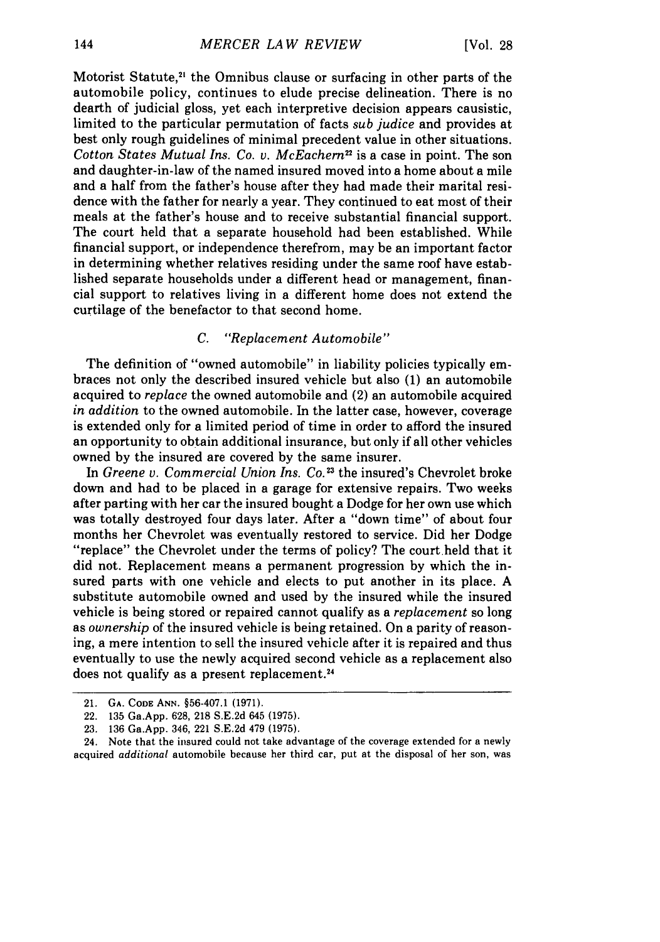Motorist Statute,<sup>21</sup> the Omnibus clause or surfacing in other parts of the automobile policy, continues to elude precise delineation. There is no dearth of judicial gloss, yet each interpretive decision appears causistic, limited to the particular permutation of facts *sub judice* and provides at best only rough guidelines of minimal precedent value in other situations. *Cotton States Mutual Ins. Co. v. McEachern<sup>22</sup>* is a case in point. The son and daughter-in-law of the named insured moved into a home about a mile and a half from the father's house after they had made their marital residence with the father for nearly a year. They continued to eat most of their meals at the father's house and to receive substantial financial support. The court held that a separate household had been established. While financial support, or independence therefrom, may be an important factor in determining whether relatives residing under the same roof have established separate households under a different head or management, financial support to relatives living in a different home does not extend the curtilage of the benefactor to that second home.

# *C. "Replacement Automobile"*

The definition of "owned automobile" in liability policies typically embraces not only the described insured vehicle but also (1) an automobile acquired to *replace* the owned automobile and (2) an automobile acquired *in addition* to the owned automobile. In the latter case, however, coverage is extended only for a limited period of time in order to afford the insured an opportunity to obtain additional insurance, but only if all other vehicles owned by the insured are covered by the same insurer.

In *Greene v. Commercial Union Ins. Co.13* the insured's Chevrolet broke down and had to be placed in a garage for extensive repairs. Two weeks after parting with her car the insured bought a Dodge for her own use which was totally destroyed four days later. After a "down time" of about four months her Chevrolet was eventually restored to service. Did her Dodge "replace" the Chevrolet under the terms of policy? The court held that it did not. Replacement means a permanent progression by which the insured parts with one vehicle and elects to put another in its place. A substitute automobile owned and used by the insured while the insured vehicle is being stored or repaired cannot qualify as a *replacement* so long as *ownership* of the insured vehicle is being retained. On a parity of reasoning, a mere intention to sell the insured vehicle after it is repaired and thus eventually to use the newly acquired second vehicle as a replacement also does not qualify as a present replacement.<sup>24</sup>

24. Note that the insured could not take advantage of the coverage extended for a newly acquired *additional* automobile because her third car, put at the disposal of her son, was

<sup>21.</sup> **GA. CODE** ANN. §56-407.1 (1971).

<sup>22.</sup> **135** Ga.App. **628, 218 S.E.2d** 645 **(1975).**

**<sup>23. 136</sup>** Ga.App. 346, 221 **S.E.2d** 479 **(1975).**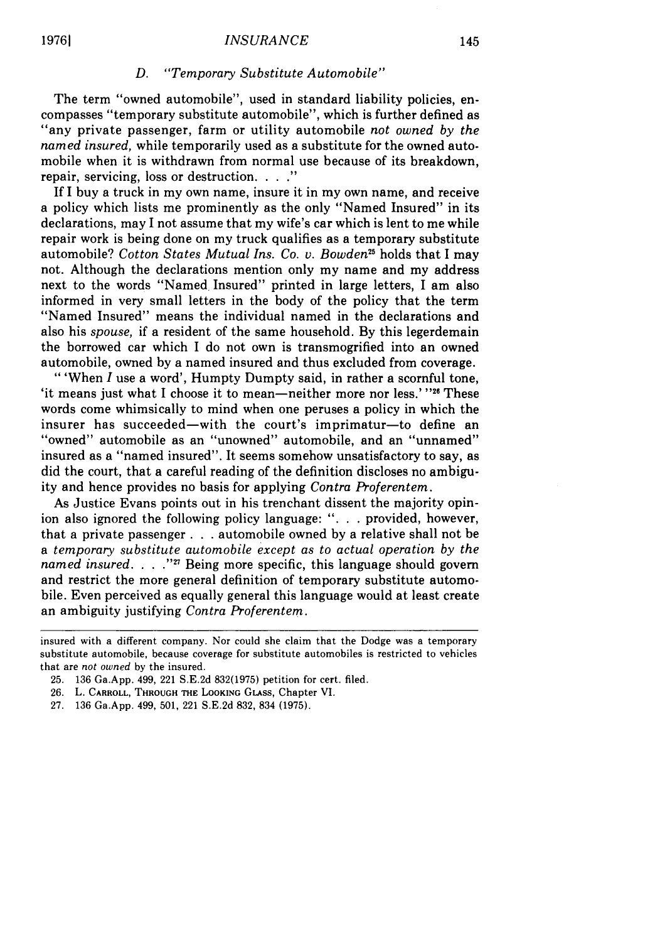### *D. "Temporary Substitute Automobile"*

The term "owned automobile", used in standard liability policies, encompasses "temporary substitute automobile", which is further defined as "any private passenger, farm or utility automobile *not owned by the named insured,* while temporarily used as a substitute for the owned automobile when it is withdrawn from normal use because of its breakdown, repair, servicing, loss or destruction. ...."

If I buy a truck in my own name, insure it in my own name, and receive a policy which lists me prominently as the only "Named Insured" in its declarations, may I not assume that my wife's car which is lent to me while repair work is being done on my truck qualifies as a temporary substitute automobile? *Cotton States Mutual Ins. Co.* v. *Bowden2t* holds that I may not. Although the declarations mention only my name and my address next to the words "Named Insured" printed in large letters, I am also informed in very small letters in the body of the policy that the term "Named Insured" means the individual named in the declarations and also his *spouse,* if a resident of the same household. By this legerdemain the borrowed car which I do not own is transmogrified into an owned automobile, owned by a named insured and thus excluded from coverage.

"'When *I* use a word', Humpty Dumpty said, in rather a scornful tone, 'it means just what I choose it to mean-neither more nor less.' "26 These words come whimsically to mind when one peruses a policy in which the insurer has succeeded-with the court's imprimatur-to define an "owned" automobile as an "unowned" automobile, and an "unnamed" insured as a "named insured". It seems somehow unsatisfactory to say, as did the court, that a careful reading of the definition discloses no ambiguity and hence provides no basis for applying *Contra Proferentem.*

As Justice Evans points out in his trenchant dissent the majority opinion also ignored the following policy language: ". **.** . provided, however, that a private passenger **. . .** automobile owned by a relative shall not be a *temporary substitute automobile except as to actual operation by the named insured....*"<sup>27</sup> Being more specific, this language should govern and restrict the more general definition of temporary substitute automobile. Even perceived as equally general this language would at least create an ambiguity justifying *Contra Proferentem.*

insured with a different company. Nor could she claim that the Dodge was a temporary substitute automobile, because coverage for substitute automobiles is restricted to vehicles that are *not owned* by the insured.

<sup>25. 136</sup> Ga.App. 499, 221 S.E.2d 832(1975) petition for cert. filed.

<sup>26.</sup> L. CARROLL, THROUGH THE LOOKING GLAss, Chapter VI.

**<sup>27.</sup>** 136 Ga.App. 499, 501, 221 S.E.2d 832, 834 **(1975).**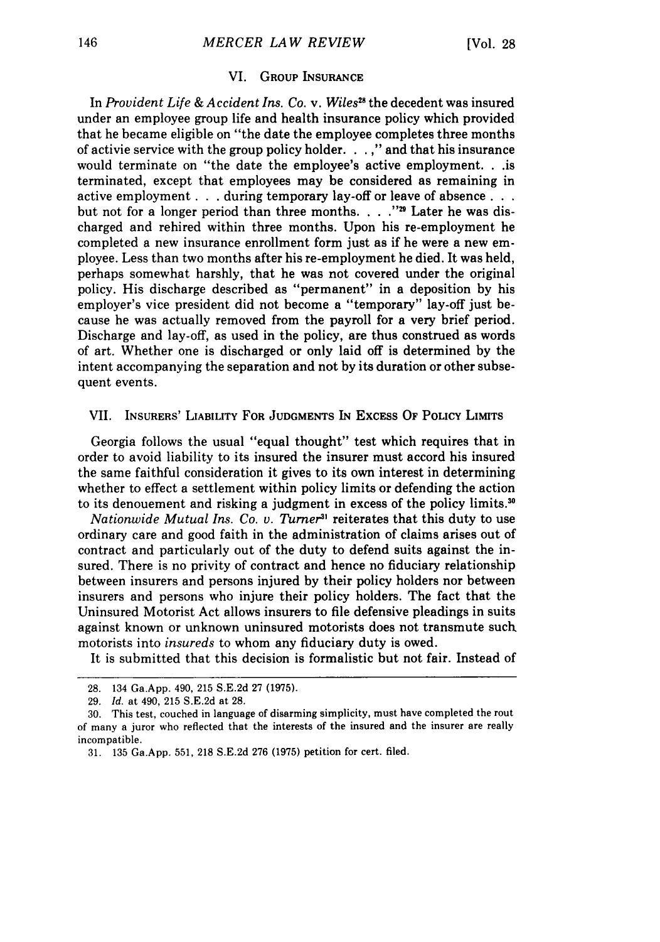#### VI. **GROUP INSURANCE**

In *Provident Life & Accident Ins. Co. v. Wiles<sup>28</sup> the decedent was insured* under an employee group life and health insurance policy which provided that he became eligible on "the date the employee completes three months of activie service with the group policy holder. . . **"** and that his insurance would terminate on "the date the employee's active employment. **. .is** terminated, except that employees may be considered as remaining in active employment . . . during temporary lay-off or leave of absence . . . but not for a longer period than three months. . . . "<sup>29</sup> Later he was discharged and rehired within three months. Upon his re-employment he completed a new insurance enrollment form just as if he were a new employee. Less than two months after his re-employment he died. It was held, perhaps somewhat harshly, that he was not covered under the original policy. His discharge described as "permanent" in a deposition by his employer's vice president did not become a "temporary" lay-off just because he was actually removed from the payroll for a very brief period. Discharge and lay-off, as used in the policy, are thus construed as words of art. Whether one is discharged or only laid off is determined by the intent accompanying the separation and not by its duration or other subsequent events.

#### VII. INSURERS' **LIABILITY FOR JUDGMENTS IN EXCESS** OF **POLICY LIMITS**

Georgia follows the usual "equal thought" test which requires that in order to avoid liability to its insured the insurer must accord his insured the same faithful consideration it gives to its own interest in determining whether to effect a settlement within policy limits or defending the action to its denouement and risking a judgment in excess of the policy limits. <sup>30</sup>

*Nationwide Mutual Ins. Co. v. Turner3'* reiterates that this duty to use ordinary care and good faith in the administration of claims arises out of contract and particularly out of the duty to defend suits against the insured. There is no privity of contract and hence no fiduciary relationship between insurers and persons injured by their policy holders nor between insurers and persons who injure their policy holders. The fact that the Uninsured Motorist Act allows insurers to file defensive pleadings in suits against known or unknown uninsured motorists does not transmute such motorists into *insureds* to whom any fiduciary duty is owed.

It is submitted that this decision is formalistic but not fair. Instead of

<sup>28. 134</sup> Ga.App. 490, 215 S.E.2d 27 (1975).

<sup>29.</sup> *Id.* at 490, 215 S.E.2d at 28.

<sup>30.</sup> This test, couched in language of disarming simplicity, must have completed the rout of many a juror who reflected that the interests of the insured and the insurer are really incompatible.

<sup>31. 135</sup> Ga.App. **551,** 218 S.E.2d 276 (1975) petition for cert. filed.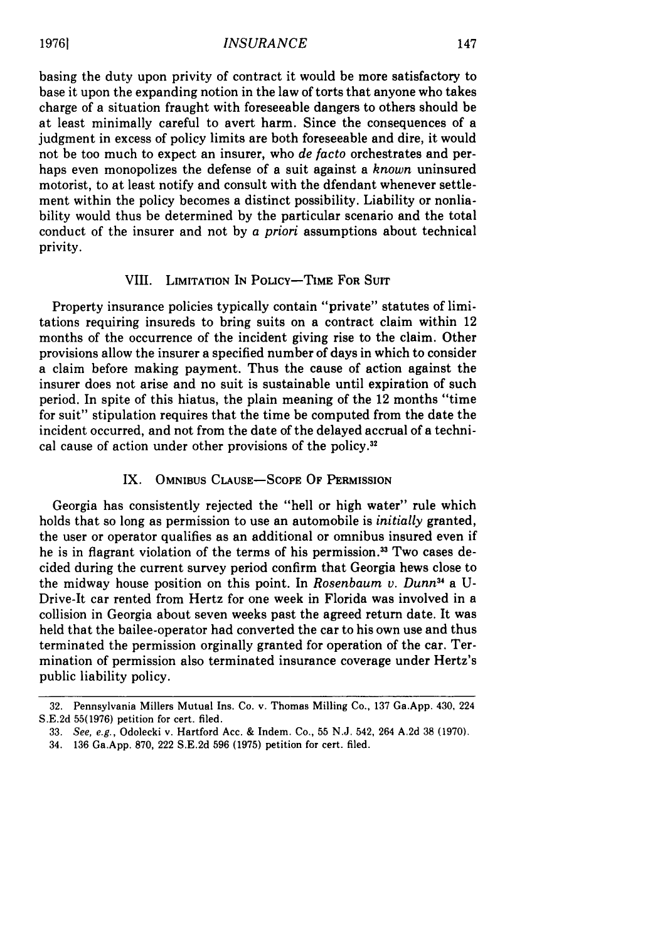basing the duty upon privity of contract it would be more satisfactory to base it upon the expanding notion in the law of torts that anyone who takes charge of a situation fraught with foreseeable dangers to others should be at least minimally careful to avert harm. Since the consequences of a judgment in excess of policy limits are both foreseeable and dire, it would not be too much to expect an insurer, who *de facto* orchestrates and perhaps even monopolizes the defense of a suit against a *known* uninsured motorist, to at least notify and consult with the dfendant whenever settlement within the policy becomes a distinct possibility. Liability or nonliability would thus be determined by the particular scenario and the total conduct of the insurer and not by *a priori* assumptions about technical privity.

#### VIII. **LIMITATION IN** POLiCY-TME **FOR** Surr

Property insurance policies typically contain "private" statutes of limitations requiring insureds to bring suits on a contract claim within 12 months of the occurrence of the incident giving rise to the claim. Other provisions allow the insurer a specified number of days in which to consider a claim before making payment. Thus the cause of action against the insurer does not arise and no suit is sustainable until expiration of such period. In spite of this hiatus, the plain meaning of the 12 months "time for suit" stipulation requires that the time be computed from the date the incident occurred, and not from the date of the delayed accrual of a technical cause of action under other provisions of the policy.<sup>32</sup>

# IX. **OMNIBUS CLAUSE-SCOPE** OF **PERMISSION**

Georgia has consistently rejected the "hell or high water" rule which holds that so long as permission to use an automobile is *initially* granted, the user or operator qualifies as an additional or omnibus insured even if he is in flagrant violation of the terms of his permission.<sup>33</sup> Two cases decided during the current survey period confirm that Georgia hews close to the midway house position on this point. In *Rosenbaum v. Dunn3* a U-Drive-It car rented from Hertz for one week in Florida was involved in a collision in Georgia about seven weeks past the agreed return date. It was held that the bailee-operator had converted the car to his own use and thus terminated the permission orginally granted for operation of the car. Termination of permission also terminated insurance coverage under Hertz's public liability policy.

**<sup>32.</sup>** Pennsylvania Millers Mutual Ins. Co. v. Thomas Milling Co., **137** Ga.App. 430, 224 S.E.2d **55(1976)** petition for cert. filed.

<sup>33.</sup> See, e.g., Odolecki v. Hartford Acc. & Indem. Co., 55 N.J. 542, 264 A.2d **38** (1970).

<sup>34.</sup> **136** Ga.App. 870, 222 S.E.2d **596 (1975)** petition for cert. filed.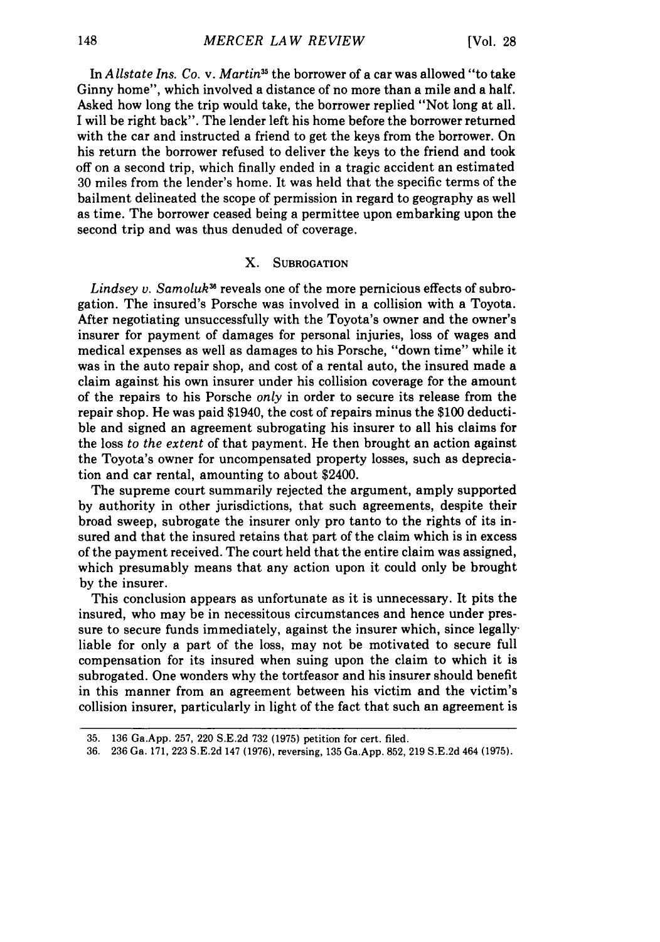In *Allstate Ins. Co. v. Martin5* the borrower of a car was allowed "to take Ginny home", which involved a distance of no more than a mile and a half. Asked how long the trip would take, the borrower replied "Not long at all. I will be right back". The lender left his home before the borrower returned with the car and instructed a friend to get the keys from the borrower. On his return the borrower refused to deliver the keys to the friend and took off on a second trip, which finally ended in a tragic accident an estimated 30 miles from the lender's home. It was held that the specific terms of the bailment delineated the scope of permission in regard to geography as well as time. The borrower ceased being a permittee upon embarking upon the second trip and was thus denuded of coverage.

# X. **SUBROGATION**

*Lindsey v. Samoluk<sup>38</sup>* reveals one of the more pernicious effects of subrogation. The insured's Porsche was involved in a collision with a Toyota. After negotiating unsuccessfully with the Toyota's owner and the owner's insurer for payment of damages for personal injuries, loss of wages and medical expenses as well as damages to his Porsche, "down time" while it was in the auto repair shop, and cost of a rental auto, the insured made a claim against his own insurer under his collision coverage for the amount of the repairs to his Porsche *only* in order to secure its release from the repair shop. He was paid \$1940, the cost of repairs minus the \$100 deductible and signed an agreement subrogating his insurer to all his claims for the loss *to the extent* of that payment. He then brought an action against the Toyota's owner for uncompensated property losses, such as depreciation and car rental, amounting to about \$2400.

The supreme court summarily rejected the argument, amply supported by authority in other jurisdictions, that such agreements, despite their broad sweep, subrogate the insurer only pro tanto to the rights of its insured and that the insured retains that part of the claim which is in excess of the payment received. The court held that the entire claim was assigned, which presumably means that any action upon it could only be brought by the insurer.

This conclusion appears as unfortunate as it is unnecessary. It pits the insured, who may be in necessitous circumstances and hence under pressure to secure funds immediately, against the insurer which, since legallyliable for only a part of the loss, may not be motivated to secure full compensation for its insured when suing upon the claim to which it is subrogated. One wonders why the tortfeasor and his insurer should benefit in this manner from an agreement between his victim and the victim's collision insurer, particularly in light of the fact that such an agreement is

<sup>35. 136</sup> Ga.App. 257, 220 S.E.2d 732 (1975) petition for cert. filed.

<sup>36. 236</sup> Ga. 171, 223 S.E.2d 147 (1976), reversing, 135 Ga.App. 852, 219 S.E.2d 464 (1975).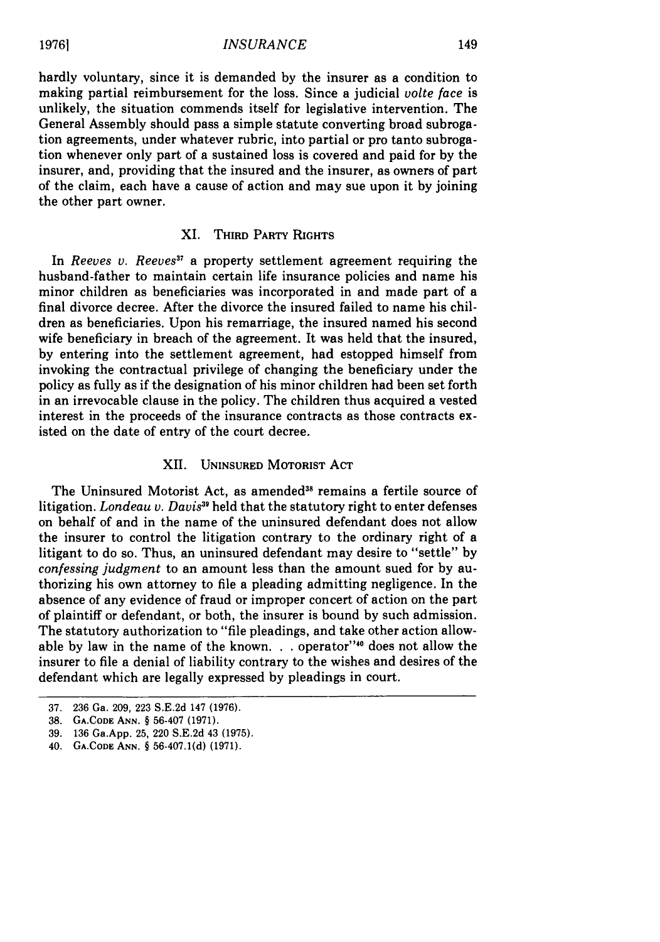hardly voluntary, since it is demanded by the insurer as a condition to making partial reimbursement for the loss. Since a judicial *volte face* is unlikely, the situation commends itself for legislative intervention. The General Assembly should pass a simple statute converting broad subrogation agreements, under whatever rubric, into partial or pro tanto subrogation whenever only part of a sustained loss is covered and paid for by the insurer, and, providing that the insured and the insurer, as owners of part of the claim, each have a cause of action and may sue upon it by joining the other part owner.

# XI. **THIRD** PARTY **RIGHTS**

In *Reeves v. Reeves"* a property settlement agreement requiring the husband-father to maintain certain life insurance policies and name his minor children as beneficiaries was incorporated in and made part of a final divorce decree. After the divorce the insured failed to name his children as beneficiaries. Upon his remarriage, the insured named his second wife beneficiary in breach of the agreement. It was held that the insured, by entering into the settlement agreement, had estopped himself from invoking the contractual privilege of changing the beneficiary under the policy as fully as if the designation of his minor children had been set forth in an irrevocable clause in the policy. The children thus acquired a vested interest in the proceeds of the insurance contracts as those contracts existed on the date of entry of the court decree.

#### XII. **UNINSURED MOTORIST ACT**

The Uninsured Motorist Act, as amended<sup>38</sup> remains a fertile source of litigation. *Londeau v. Davis39* held that the statutory right to enter defenses on behalf of and in the name of the uninsured defendant does not allow the insurer to control the litigation contrary to the ordinary right of a litigant to do so. Thus, an uninsured defendant may desire to "settle" by *confessing judgment* to an amount less than the amount sued for by authorizing his own attorney to file a pleading admitting negligence. In the absence of any evidence of fraud or improper concert of action on the part of plaintiff or defendant, or both, the insurer is bound by such admission. The statutory authorization to "file pleadings, and take other action allowable by law in the name of the known. . . operator"<sup>40</sup> does not allow the insurer to file a denial of liability contrary to the wishes and desires of the defendant which are legally expressed by pleadings in court.

**19761**

<sup>37.</sup> **236** Ga. **209, 223** S.E.2d 147 **(1976).**

**<sup>38.</sup>** GA.CODE **ANN.** § 56-407 (1971).

**<sup>39. 136</sup>** Ga.App. **25,** 220 S.E.2d 43 **(1975).**

<sup>40.</sup> GA.CODE **ANN.** § 56-407.1(d) **(1971).**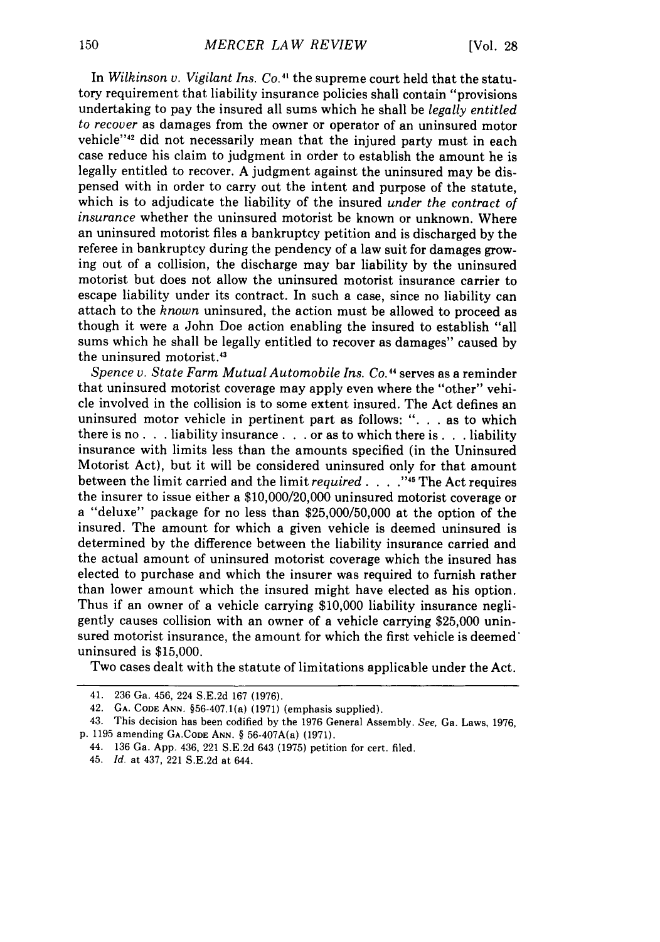In *Wilkinson v. Vigilant Ins. Co.*<sup>41</sup> the supreme court held that the statutory requirement that liability insurance policies shall contain "provisions undertaking to pay the insured all sums which he shall be *legally entitled to recover* as damages from the owner or operator of an uninsured motor vehicle"<sup>42</sup> did not necessarily mean that the injured party must in each case reduce his claim to judgment in order to establish the amount he is legally entitled to recover. A judgment against the uninsured may be dispensed with in order to carry out the intent and purpose of the statute, which is to adjudicate the liability of the insured *under the contract of insurance* whether the uninsured motorist be known or unknown. Where an uninsured motorist files a bankruptcy petition and is discharged by the referee in bankruptcy during the pendency of a law suit for damages growing out of a collision, the discharge may bar liability by the uninsured motorist but does not allow the uninsured motorist insurance carrier to escape liability under its contract. In such a case, since no liability can attach to the *known* uninsured, the action must be allowed to proceed as though it were a John Doe action enabling the insured to establish "all sums which he shall be legally entitled to recover as damages" caused by the uninsured motorist.<sup>43</sup>

*Spence v. State Farm Mutual Automobile Ins. Co."* serves as a reminder that uninsured motorist coverage may apply even where the "other" vehicle involved in the collision is to some extent insured. The Act defines an uninsured motor vehicle in pertinent part as follows: ". **.** . as to which there is no **. .** .liability insurance **. . .** or as to which there is **. .** .liability insurance with limits less than the amounts specified (in the Uninsured Motorist Act), but it will be considered uninsured only for that amount between the limit carried and the limit *required* . **.** . **."'I** The Act requires the insurer to issue either a \$10,000/20,000 uninsured motorist coverage or a "deluxe" package for no less than \$25,000/50,000 at the option of the insured. The amount for which a given vehicle is deemed uninsured is determined by the difference between the liability insurance carried and the actual amount of uninsured motorist coverage which the insured has elected to purchase and which the insurer was required to furnish rather than lower amount which the insured might have elected as his option. Thus if an owner of a vehicle carrying \$10,000 liability insurance negligently causes collision with an owner of a vehicle carrying \$25,000 uninsured motorist insurance, the amount for which the first vehicle is deemed uninsured is \$15,000.

Two cases dealt with the statute of limitations applicable under the Act.

<sup>41. 236</sup> Ga. 456, 224 S.E.2d 167 (1976).

<sup>42.</sup> **GA.** CODE **ANN.** §56-407.1(a) (1971) (emphasis supplied).

<sup>43.</sup> This decision has been codified by the 1976 General Assembly. *See,* Ga. Laws, 1976, p. 1195 amending **GA.CODE ANN.** § 56-407A(a) (1971).

<sup>44. 136</sup> Ga. App. 436, 221 S.E.2d 643 (1975) petition for cert. filed.

<sup>45.</sup> *Id.* at 437, 221 S.E.2d at 644.